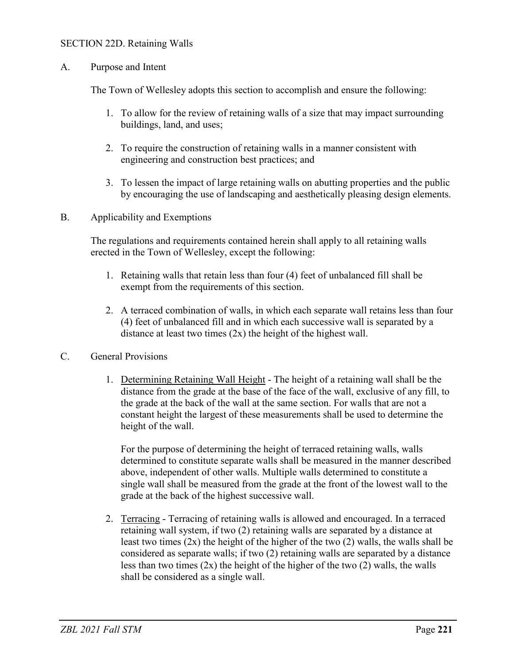## SECTION 22D. Retaining Walls

A. Purpose and Intent

The Town of Wellesley adopts this section to accomplish and ensure the following:

- 1. To allow for the review of retaining walls of a size that may impact surrounding buildings, land, and uses;
- 2. To require the construction of retaining walls in a manner consistent with engineering and construction best practices; and
- 3. To lessen the impact of large retaining walls on abutting properties and the public by encouraging the use of landscaping and aesthetically pleasing design elements.
- B. Applicability and Exemptions

The regulations and requirements contained herein shall apply to all retaining walls erected in the Town of Wellesley, except the following:

- 1. Retaining walls that retain less than four (4) feet of unbalanced fill shall be exempt from the requirements of this section.
- 2. A terraced combination of walls, in which each separate wall retains less than four (4) feet of unbalanced fill and in which each successive wall is separated by a distance at least two times  $(2x)$  the height of the highest wall.
- C. General Provisions
	- 1. Determining Retaining Wall Height The height of a retaining wall shall be the distance from the grade at the base of the face of the wall, exclusive of any fill, to the grade at the back of the wall at the same section. For walls that are not a constant height the largest of these measurements shall be used to determine the height of the wall.

For the purpose of determining the height of terraced retaining walls, walls determined to constitute separate walls shall be measured in the manner described above, independent of other walls. Multiple walls determined to constitute a single wall shall be measured from the grade at the front of the lowest wall to the grade at the back of the highest successive wall.

2. Terracing - Terracing of retaining walls is allowed and encouraged. In a terraced retaining wall system, if two (2) retaining walls are separated by a distance at least two times (2x) the height of the higher of the two (2) walls, the walls shall be considered as separate walls; if two (2) retaining walls are separated by a distance less than two times (2x) the height of the higher of the two (2) walls, the walls shall be considered as a single wall.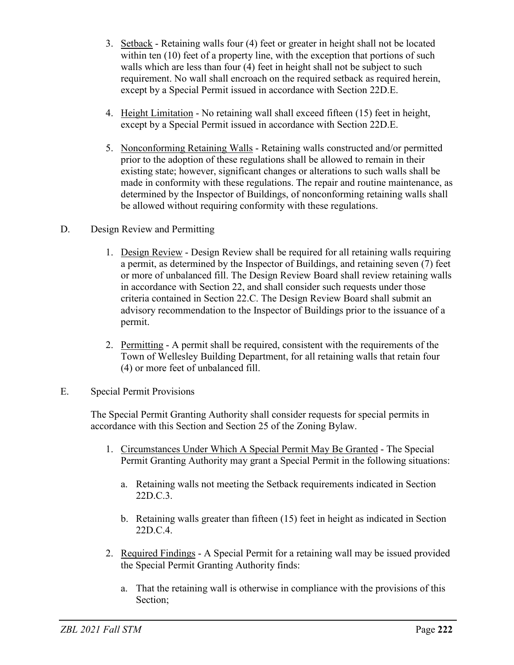- 3. Setback Retaining walls four (4) feet or greater in height shall not be located within ten (10) feet of a property line, with the exception that portions of such walls which are less than four (4) feet in height shall not be subject to such requirement. No wall shall encroach on the required setback as required herein, except by a Special Permit issued in accordance with Section 22D.E.
- 4. Height Limitation No retaining wall shall exceed fifteen (15) feet in height, except by a Special Permit issued in accordance with Section 22D.E.
- 5. Nonconforming Retaining Walls Retaining walls constructed and/or permitted prior to the adoption of these regulations shall be allowed to remain in their existing state; however, significant changes or alterations to such walls shall be made in conformity with these regulations. The repair and routine maintenance, as determined by the Inspector of Buildings, of nonconforming retaining walls shall be allowed without requiring conformity with these regulations.
- D. Design Review and Permitting
	- 1. Design Review Design Review shall be required for all retaining walls requiring a permit, as determined by the Inspector of Buildings, and retaining seven (7) feet or more of unbalanced fill. The Design Review Board shall review retaining walls in accordance with Section 22, and shall consider such requests under those criteria contained in Section 22.C. The Design Review Board shall submit an advisory recommendation to the Inspector of Buildings prior to the issuance of a permit.
	- 2. Permitting A permit shall be required, consistent with the requirements of the Town of Wellesley Building Department, for all retaining walls that retain four (4) or more feet of unbalanced fill.
- E. Special Permit Provisions

The Special Permit Granting Authority shall consider requests for special permits in accordance with this Section and Section 25 of the Zoning Bylaw.

- 1. Circumstances Under Which A Special Permit May Be Granted The Special Permit Granting Authority may grant a Special Permit in the following situations:
	- a. Retaining walls not meeting the Setback requirements indicated in Section 22D.C.3.
	- b. Retaining walls greater than fifteen (15) feet in height as indicated in Section 22D.C.4.
- 2. Required Findings A Special Permit for a retaining wall may be issued provided the Special Permit Granting Authority finds:
	- a. That the retaining wall is otherwise in compliance with the provisions of this Section;